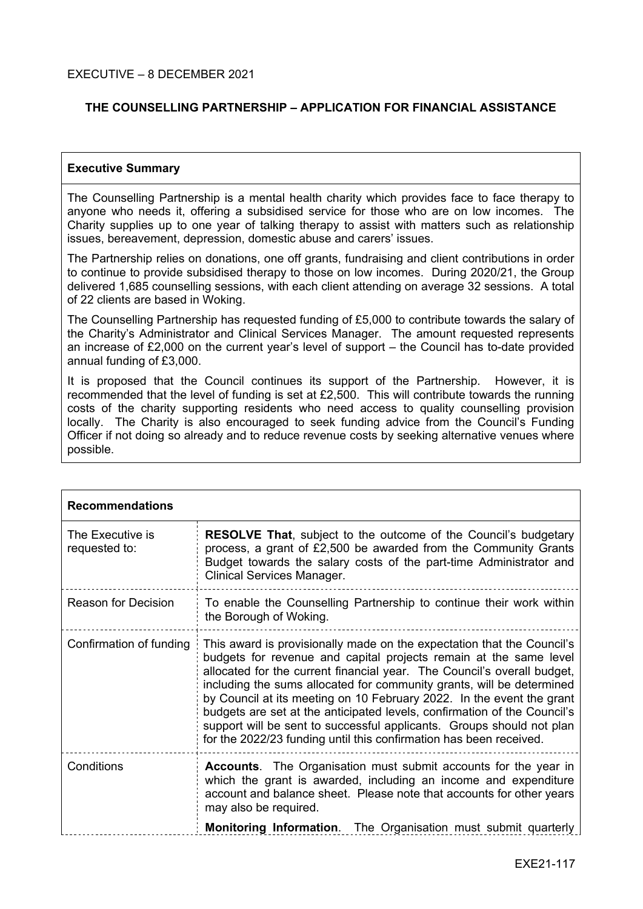# **THE COUNSELLING PARTNERSHIP – APPLICATION FOR FINANCIAL ASSISTANCE**

### **Executive Summary**

The Counselling Partnership is a mental health charity which provides face to face therapy to anyone who needs it, offering a subsidised service for those who are on low incomes. The Charity supplies up to one year of talking therapy to assist with matters such as relationship issues, bereavement, depression, domestic abuse and carers' issues.

The Partnership relies on donations, one off grants, fundraising and client contributions in order to continue to provide subsidised therapy to those on low incomes. During 2020/21, the Group delivered 1,685 counselling sessions, with each client attending on average 32 sessions. A total of 22 clients are based in Woking.

The Counselling Partnership has requested funding of £5,000 to contribute towards the salary of the Charity's Administrator and Clinical Services Manager. The amount requested represents an increase of £2,000 on the current year's level of support – the Council has to-date provided annual funding of £3,000.

It is proposed that the Council continues its support of the Partnership. However, it is recommended that the level of funding is set at £2,500. This will contribute towards the running costs of the charity supporting residents who need access to quality counselling provision locally. The Charity is also encouraged to seek funding advice from the Council's Funding Officer if not doing so already and to reduce revenue costs by seeking alternative venues where possible.

| <b>Recommendations</b>            |                                                                                                                                                                                                                                                                                                                                                                                                                                                                                                                                                                                                     |  |  |
|-----------------------------------|-----------------------------------------------------------------------------------------------------------------------------------------------------------------------------------------------------------------------------------------------------------------------------------------------------------------------------------------------------------------------------------------------------------------------------------------------------------------------------------------------------------------------------------------------------------------------------------------------------|--|--|
| The Executive is<br>requested to: | <b>RESOLVE That, subject to the outcome of the Council's budgetary</b><br>process, a grant of £2,500 be awarded from the Community Grants<br>Budget towards the salary costs of the part-time Administrator and<br><b>Clinical Services Manager.</b>                                                                                                                                                                                                                                                                                                                                                |  |  |
| <b>Reason for Decision</b>        | To enable the Counselling Partnership to continue their work within<br>the Borough of Woking.                                                                                                                                                                                                                                                                                                                                                                                                                                                                                                       |  |  |
| Confirmation of funding           | This award is provisionally made on the expectation that the Council's<br>budgets for revenue and capital projects remain at the same level<br>allocated for the current financial year. The Council's overall budget,<br>including the sums allocated for community grants, will be determined<br>by Council at its meeting on 10 February 2022. In the event the grant<br>budgets are set at the anticipated levels, confirmation of the Council's<br>support will be sent to successful applicants. Groups should not plan<br>for the 2022/23 funding until this confirmation has been received. |  |  |
| Conditions                        | <b>Accounts.</b> The Organisation must submit accounts for the year in<br>which the grant is awarded, including an income and expenditure<br>account and balance sheet. Please note that accounts for other years<br>may also be required.                                                                                                                                                                                                                                                                                                                                                          |  |  |
|                                   | <b>Monitoring Information.</b> The Organisation must submit quarterly                                                                                                                                                                                                                                                                                                                                                                                                                                                                                                                               |  |  |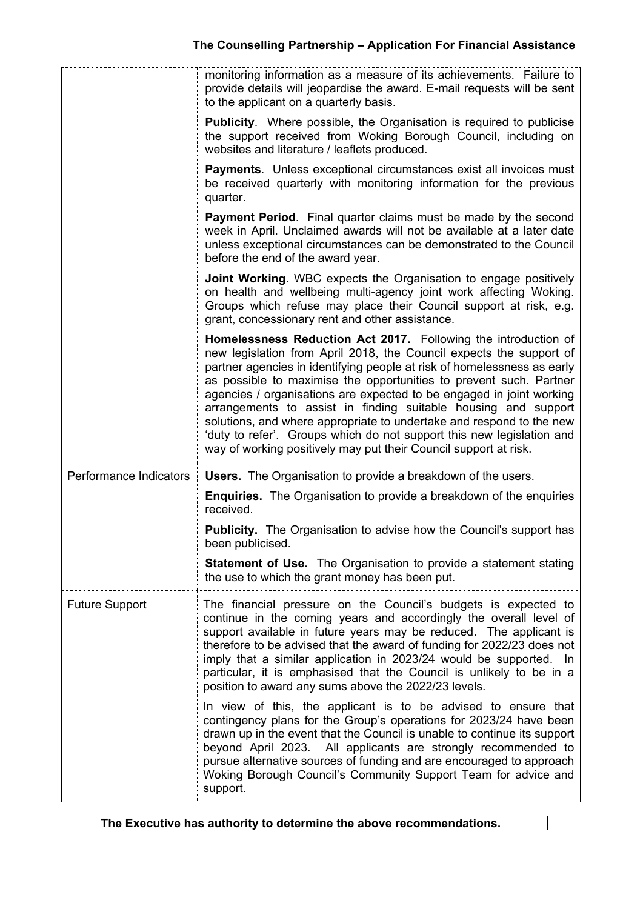|                        | monitoring information as a measure of its achievements. Failure to<br>provide details will jeopardise the award. E-mail requests will be sent<br>to the applicant on a quarterly basis.                                                                                                                                                                                                                                                                                                                                                                                                                                                              |
|------------------------|-------------------------------------------------------------------------------------------------------------------------------------------------------------------------------------------------------------------------------------------------------------------------------------------------------------------------------------------------------------------------------------------------------------------------------------------------------------------------------------------------------------------------------------------------------------------------------------------------------------------------------------------------------|
|                        | <b>Publicity.</b> Where possible, the Organisation is required to publicise<br>the support received from Woking Borough Council, including on<br>websites and literature / leaflets produced.                                                                                                                                                                                                                                                                                                                                                                                                                                                         |
|                        | Payments. Unless exceptional circumstances exist all invoices must<br>be received quarterly with monitoring information for the previous<br>quarter.                                                                                                                                                                                                                                                                                                                                                                                                                                                                                                  |
|                        | <b>Payment Period.</b> Final quarter claims must be made by the second<br>week in April. Unclaimed awards will not be available at a later date<br>unless exceptional circumstances can be demonstrated to the Council<br>before the end of the award year.                                                                                                                                                                                                                                                                                                                                                                                           |
|                        | <b>Joint Working.</b> WBC expects the Organisation to engage positively<br>on health and wellbeing multi-agency joint work affecting Woking.<br>Groups which refuse may place their Council support at risk, e.g.<br>grant, concessionary rent and other assistance.                                                                                                                                                                                                                                                                                                                                                                                  |
|                        | Homelessness Reduction Act 2017. Following the introduction of<br>new legislation from April 2018, the Council expects the support of<br>partner agencies in identifying people at risk of homelessness as early<br>as possible to maximise the opportunities to prevent such. Partner<br>agencies / organisations are expected to be engaged in joint working<br>arrangements to assist in finding suitable housing and support<br>solutions, and where appropriate to undertake and respond to the new<br>'duty to refer'. Groups which do not support this new legislation and<br>way of working positively may put their Council support at risk. |
| Performance Indicators | <b>Users.</b> The Organisation to provide a breakdown of the users.                                                                                                                                                                                                                                                                                                                                                                                                                                                                                                                                                                                   |
|                        | <b>Enquiries.</b> The Organisation to provide a breakdown of the enquiries<br>received.                                                                                                                                                                                                                                                                                                                                                                                                                                                                                                                                                               |
|                        | <b>Publicity.</b> The Organisation to advise how the Council's support has<br>been publicised                                                                                                                                                                                                                                                                                                                                                                                                                                                                                                                                                         |
|                        | <b>Statement of Use.</b> The Organisation to provide a statement stating<br>the use to which the grant money has been put.                                                                                                                                                                                                                                                                                                                                                                                                                                                                                                                            |
| <b>Future Support</b>  | The financial pressure on the Council's budgets is expected to<br>continue in the coming years and accordingly the overall level of<br>support available in future years may be reduced. The applicant is<br>therefore to be advised that the award of funding for 2022/23 does not<br>imply that a similar application in 2023/24 would be supported. In<br>particular, it is emphasised that the Council is unlikely to be in a<br>position to award any sums above the 2022/23 levels.                                                                                                                                                             |
|                        | In view of this, the applicant is to be advised to ensure that<br>contingency plans for the Group's operations for 2023/24 have been<br>drawn up in the event that the Council is unable to continue its support<br>beyond April 2023. All applicants are strongly recommended to<br>pursue alternative sources of funding and are encouraged to approach<br>Woking Borough Council's Community Support Team for advice and                                                                                                                                                                                                                           |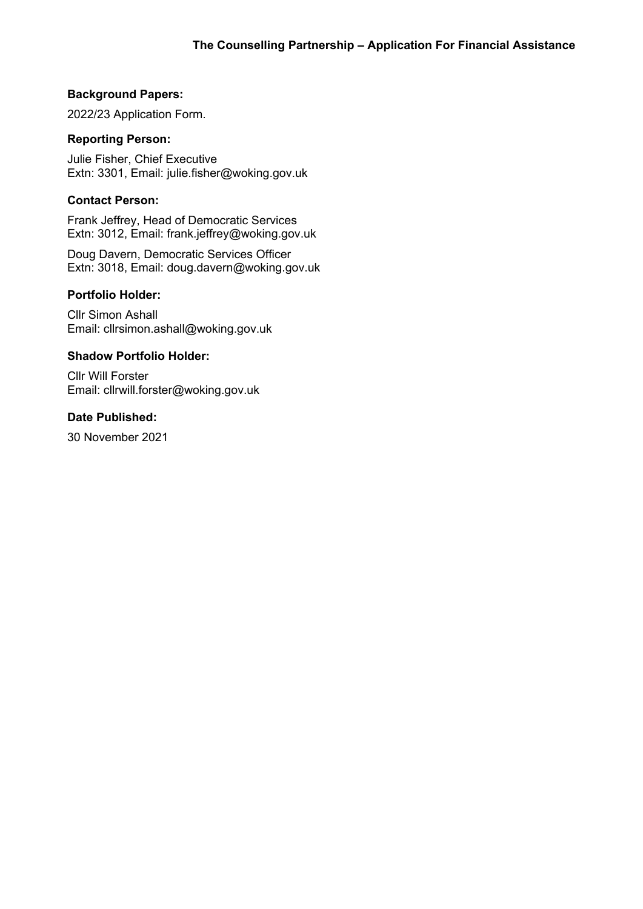### **Background Papers:**

2022/23 Application Form.

# **Reporting Person:**

Julie Fisher, Chief Executive Extn: 3301, Email: julie.fisher@woking.gov.uk

# **Contact Person:**

Frank Jeffrey, Head of Democratic Services Extn: 3012, Email: frank.jeffrey@woking.gov.uk

Doug Davern, Democratic Services Officer Extn: 3018, Email: doug.davern@woking.gov.uk

# **Portfolio Holder:**

Cllr Simon Ashall Email: cllrsimon.ashall@woking.gov.uk

#### **Shadow Portfolio Holder:**

Cllr Will Forster Email: cllrwill.forster@woking.gov.uk

#### **Date Published:**

30 November 2021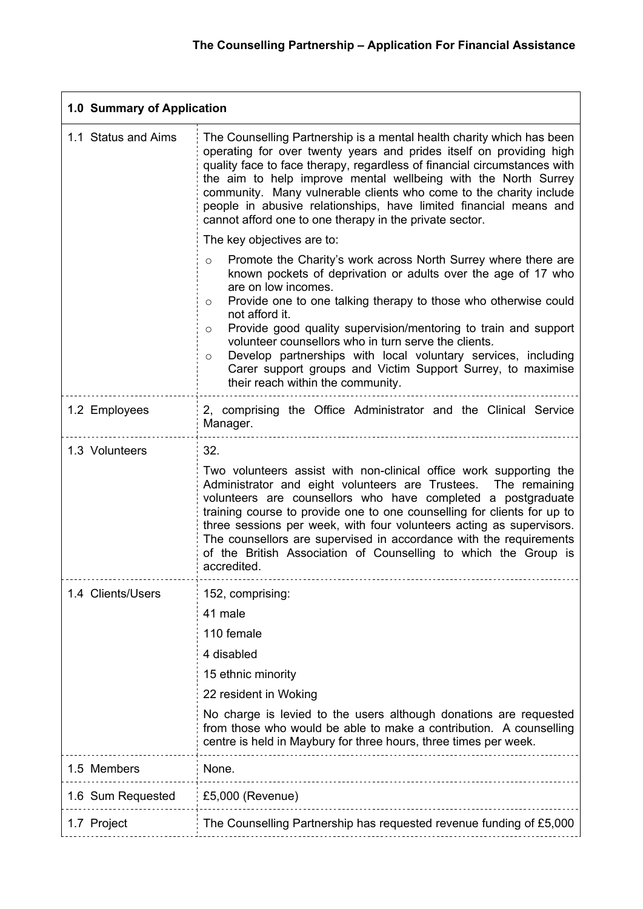L,

| 1.0 Summary of Application |                                                                                                                                                                                                                                                                                                                                                                                                                                                                                                                                                                                         |  |  |
|----------------------------|-----------------------------------------------------------------------------------------------------------------------------------------------------------------------------------------------------------------------------------------------------------------------------------------------------------------------------------------------------------------------------------------------------------------------------------------------------------------------------------------------------------------------------------------------------------------------------------------|--|--|
| 1.1 Status and Aims        | The Counselling Partnership is a mental health charity which has been<br>operating for over twenty years and prides itself on providing high<br>quality face to face therapy, regardless of financial circumstances with<br>the aim to help improve mental wellbeing with the North Surrey<br>community. Many vulnerable clients who come to the charity include<br>people in abusive relationships, have limited financial means and<br>cannot afford one to one therapy in the private sector.                                                                                        |  |  |
|                            | The key objectives are to:                                                                                                                                                                                                                                                                                                                                                                                                                                                                                                                                                              |  |  |
|                            | Promote the Charity's work across North Surrey where there are<br>$\circ$<br>known pockets of deprivation or adults over the age of 17 who<br>are on low incomes.<br>Provide one to one talking therapy to those who otherwise could<br>$\circ$<br>not afford it.<br>Provide good quality supervision/mentoring to train and support<br>$\circ$<br>volunteer counsellors who in turn serve the clients.<br>Develop partnerships with local voluntary services, including<br>$\circ$<br>Carer support groups and Victim Support Surrey, to maximise<br>their reach within the community. |  |  |
| 1.2 Employees              | 2, comprising the Office Administrator and the Clinical Service<br>Manager.                                                                                                                                                                                                                                                                                                                                                                                                                                                                                                             |  |  |
| 1.3 Volunteers             | 32.<br>Two volunteers assist with non-clinical office work supporting the<br>Administrator and eight volunteers are Trustees.<br>The remaining<br>volunteers are counsellors who have completed a postgraduate<br>training course to provide one to one counselling for clients for up to<br>three sessions per week, with four volunteers acting as supervisors.<br>The counsellors are supervised in accordance with the requirements<br>of the British Association of Counselling to which the Group is<br>accredited.                                                               |  |  |
| 1.4 Clients/Users          | 152, comprising:<br>41 male<br>110 female<br>4 disabled<br>15 ethnic minority<br>22 resident in Woking<br>No charge is levied to the users although donations are requested<br>from those who would be able to make a contribution. A counselling<br>centre is held in Maybury for three hours, three times per week.                                                                                                                                                                                                                                                                   |  |  |
| 1.5 Members                | None.                                                                                                                                                                                                                                                                                                                                                                                                                                                                                                                                                                                   |  |  |
| 1.6 Sum Requested          | £5,000 (Revenue)                                                                                                                                                                                                                                                                                                                                                                                                                                                                                                                                                                        |  |  |
| 1.7 Project                | The Counselling Partnership has requested revenue funding of £5,000                                                                                                                                                                                                                                                                                                                                                                                                                                                                                                                     |  |  |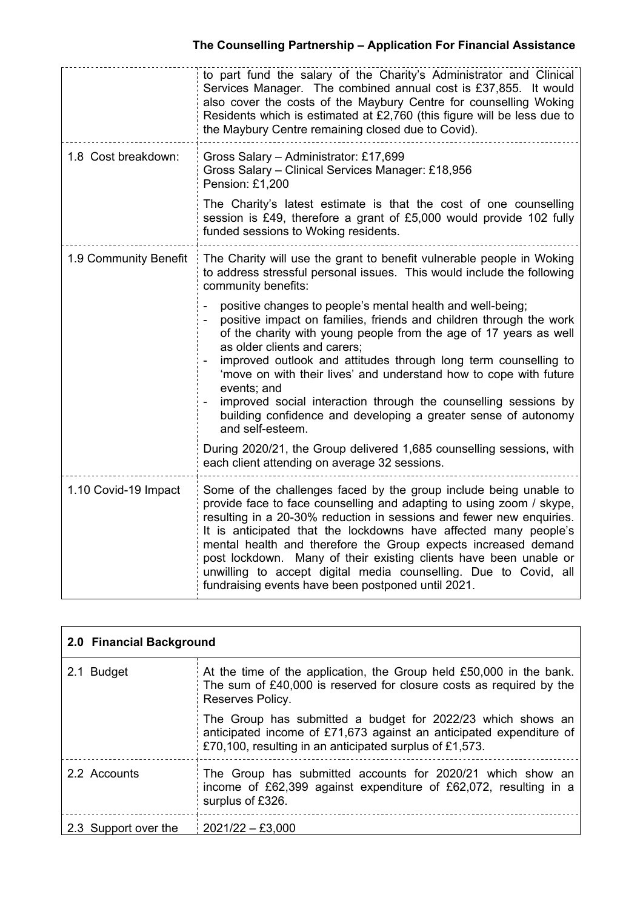|                       | to part fund the salary of the Charity's Administrator and Clinical<br>Services Manager. The combined annual cost is £37,855. It would<br>also cover the costs of the Maybury Centre for counselling Woking<br>Residents which is estimated at £2,760 (this figure will be less due to<br>the Maybury Centre remaining closed due to Covid).                                                                                                                                                                                                           |  |
|-----------------------|--------------------------------------------------------------------------------------------------------------------------------------------------------------------------------------------------------------------------------------------------------------------------------------------------------------------------------------------------------------------------------------------------------------------------------------------------------------------------------------------------------------------------------------------------------|--|
| 1.8 Cost breakdown:   | Gross Salary - Administrator: £17,699<br>Gross Salary - Clinical Services Manager: £18,956<br>Pension: £1,200                                                                                                                                                                                                                                                                                                                                                                                                                                          |  |
|                       | The Charity's latest estimate is that the cost of one counselling<br>session is £49, therefore a grant of £5,000 would provide 102 fully<br>funded sessions to Woking residents.                                                                                                                                                                                                                                                                                                                                                                       |  |
| 1.9 Community Benefit | The Charity will use the grant to benefit vulnerable people in Woking<br>to address stressful personal issues. This would include the following<br>community benefits:                                                                                                                                                                                                                                                                                                                                                                                 |  |
|                       | positive changes to people's mental health and well-being;<br>positive impact on families, friends and children through the work<br>of the charity with young people from the age of 17 years as well<br>as older clients and carers:<br>improved outlook and attitudes through long term counselling to<br>'move on with their lives' and understand how to cope with future<br>events; and<br>improved social interaction through the counselling sessions by<br>building confidence and developing a greater sense of autonomy<br>and self-esteem.  |  |
|                       | During 2020/21, the Group delivered 1,685 counselling sessions, with<br>each client attending on average 32 sessions.                                                                                                                                                                                                                                                                                                                                                                                                                                  |  |
| 1.10 Covid-19 Impact  | Some of the challenges faced by the group include being unable to<br>provide face to face counselling and adapting to using zoom / skype,<br>resulting in a 20-30% reduction in sessions and fewer new enquiries.<br>It is anticipated that the lockdowns have affected many people's<br>mental health and therefore the Group expects increased demand<br>post lockdown. Many of their existing clients have been unable or<br>unwilling to accept digital media counselling. Due to Covid, all<br>fundraising events have been postponed until 2021. |  |

| 2.0 Financial Background |                                                                                                                                                                                               |  |  |
|--------------------------|-----------------------------------------------------------------------------------------------------------------------------------------------------------------------------------------------|--|--|
| 2.1 Budget               | At the time of the application, the Group held £50,000 in the bank.<br>The sum of £40,000 is reserved for closure costs as required by the<br>Reserves Policy.                                |  |  |
|                          | The Group has submitted a budget for 2022/23 which shows an<br>anticipated income of £71,673 against an anticipated expenditure of<br>£70,100, resulting in an anticipated surplus of £1,573. |  |  |
| 2.2 Accounts             | The Group has submitted accounts for 2020/21 which show an<br>income of £62,399 against expenditure of £62,072, resulting in a<br>surplus of £326.                                            |  |  |
| 2.3 Support over the     | $2021/22 - £3,000$                                                                                                                                                                            |  |  |